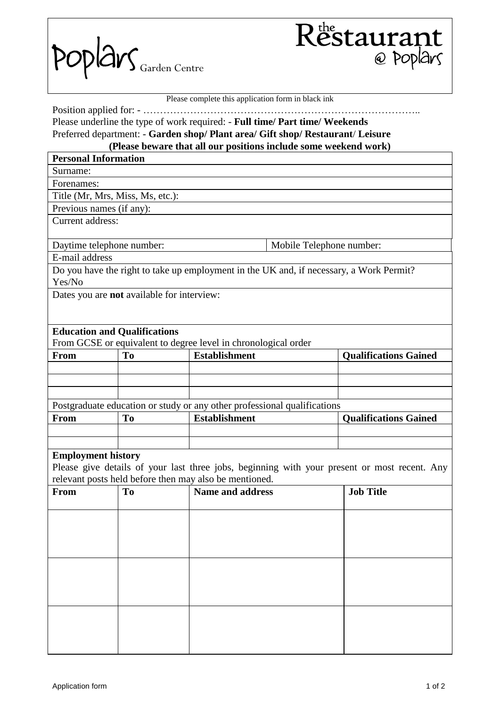



|                                           |                                            | Please complete this application form in black ink                                                                                                                                                                                  |                                                                                              |
|-------------------------------------------|--------------------------------------------|-------------------------------------------------------------------------------------------------------------------------------------------------------------------------------------------------------------------------------------|----------------------------------------------------------------------------------------------|
|                                           | Position applied for: -                    | Please underline the type of work required: - Full time/ Part time/ Weekends<br>Preferred department: - Garden shop/ Plant area/ Gift shop/ Restaurant/ Leisure<br>(Please beware that all our positions include some weekend work) |                                                                                              |
| <b>Personal Information</b>               |                                            |                                                                                                                                                                                                                                     |                                                                                              |
| Surname:                                  |                                            |                                                                                                                                                                                                                                     |                                                                                              |
| Forenames:                                |                                            |                                                                                                                                                                                                                                     |                                                                                              |
|                                           | Title (Mr, Mrs, Miss, Ms, etc.):           |                                                                                                                                                                                                                                     |                                                                                              |
|                                           | Previous names (if any):                   |                                                                                                                                                                                                                                     |                                                                                              |
| Current address:                          |                                            |                                                                                                                                                                                                                                     |                                                                                              |
|                                           | Daytime telephone number:                  |                                                                                                                                                                                                                                     | Mobile Telephone number:                                                                     |
| E-mail address                            |                                            |                                                                                                                                                                                                                                     |                                                                                              |
|                                           |                                            | Do you have the right to take up employment in the UK and, if necessary, a Work Permit?                                                                                                                                             |                                                                                              |
| Yes/No                                    |                                            |                                                                                                                                                                                                                                     |                                                                                              |
|                                           | Dates you are not available for interview: |                                                                                                                                                                                                                                     |                                                                                              |
|                                           |                                            |                                                                                                                                                                                                                                     |                                                                                              |
|                                           |                                            |                                                                                                                                                                                                                                     |                                                                                              |
|                                           | <b>Education and Qualifications</b>        |                                                                                                                                                                                                                                     |                                                                                              |
|                                           |                                            | From GCSE or equivalent to degree level in chronological order                                                                                                                                                                      |                                                                                              |
| From                                      | To                                         | <b>Establishment</b>                                                                                                                                                                                                                | <b>Qualifications Gained</b>                                                                 |
|                                           |                                            |                                                                                                                                                                                                                                     |                                                                                              |
|                                           |                                            |                                                                                                                                                                                                                                     |                                                                                              |
|                                           |                                            |                                                                                                                                                                                                                                     |                                                                                              |
|                                           |                                            |                                                                                                                                                                                                                                     |                                                                                              |
|                                           |                                            |                                                                                                                                                                                                                                     |                                                                                              |
|                                           | To                                         | Postgraduate education or study or any other professional qualifications<br><b>Establishment</b>                                                                                                                                    | <b>Qualifications Gained</b>                                                                 |
|                                           |                                            |                                                                                                                                                                                                                                     |                                                                                              |
|                                           |                                            |                                                                                                                                                                                                                                     |                                                                                              |
|                                           |                                            |                                                                                                                                                                                                                                     |                                                                                              |
|                                           |                                            |                                                                                                                                                                                                                                     |                                                                                              |
|                                           |                                            |                                                                                                                                                                                                                                     | Please give details of your last three jobs, beginning with your present or most recent. Any |
|                                           | To                                         | relevant posts held before then may also be mentioned.<br><b>Name and address</b>                                                                                                                                                   | <b>Job Title</b>                                                                             |
|                                           |                                            |                                                                                                                                                                                                                                     |                                                                                              |
|                                           |                                            |                                                                                                                                                                                                                                     |                                                                                              |
|                                           |                                            |                                                                                                                                                                                                                                     |                                                                                              |
|                                           |                                            |                                                                                                                                                                                                                                     |                                                                                              |
|                                           |                                            |                                                                                                                                                                                                                                     |                                                                                              |
| From<br><b>Employment history</b><br>From |                                            |                                                                                                                                                                                                                                     |                                                                                              |
|                                           |                                            |                                                                                                                                                                                                                                     |                                                                                              |
|                                           |                                            |                                                                                                                                                                                                                                     |                                                                                              |
|                                           |                                            |                                                                                                                                                                                                                                     |                                                                                              |
|                                           |                                            |                                                                                                                                                                                                                                     |                                                                                              |